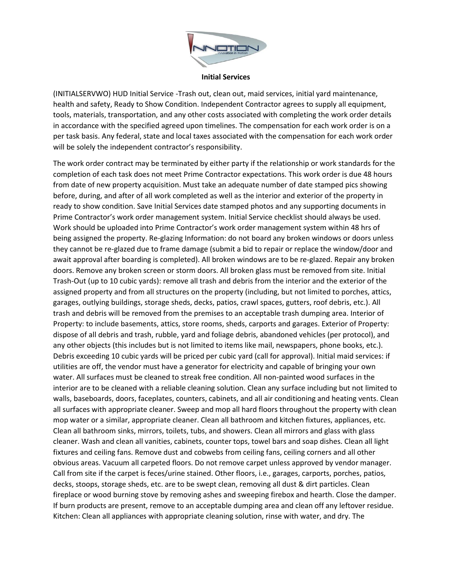

**Initial Services**

(INITIALSERVWO) HUD Initial Service -Trash out, clean out, maid services, initial yard maintenance, health and safety, Ready to Show Condition. Independent Contractor agrees to supply all equipment, tools, materials, transportation, and any other costs associated with completing the work order details in accordance with the specified agreed upon timelines. The compensation for each work order is on a per task basis. Any federal, state and local taxes associated with the compensation for each work order will be solely the independent contractor's responsibility.

The work order contract may be terminated by either party if the relationship or work standards for the completion of each task does not meet Prime Contractor expectations. This work order is due 48 hours from date of new property acquisition. Must take an adequate number of date stamped pics showing before, during, and after of all work completed as well as the interior and exterior of the property in ready to show condition. Save Initial Services date stamped photos and any supporting documents in Prime Contractor's work order management system. Initial Service checklist should always be used. Work should be uploaded into Prime Contractor's work order management system within 48 hrs of being assigned the property. Re-glazing Information: do not board any broken windows or doors unless they cannot be re-glazed due to frame damage (submit a bid to repair or replace the window/door and await approval after boarding is completed). All broken windows are to be re-glazed. Repair any broken doors. Remove any broken screen or storm doors. All broken glass must be removed from site. Initial Trash-Out (up to 10 cubic yards): remove all trash and debris from the interior and the exterior of the assigned property and from all structures on the property (including, but not limited to porches, attics, garages, outlying buildings, storage sheds, decks, patios, crawl spaces, gutters, roof debris, etc.). All trash and debris will be removed from the premises to an acceptable trash dumping area. Interior of Property: to include basements, attics, store rooms, sheds, carports and garages. Exterior of Property: dispose of all debris and trash, rubble, yard and foliage debris, abandoned vehicles (per protocol), and any other objects (this includes but is not limited to items like mail, newspapers, phone books, etc.). Debris exceeding 10 cubic yards will be priced per cubic yard (call for approval). Initial maid services: if utilities are off, the vendor must have a generator for electricity and capable of bringing your own water. All surfaces must be cleaned to streak free condition. All non-painted wood surfaces in the interior are to be cleaned with a reliable cleaning solution. Clean any surface including but not limited to walls, baseboards, doors, faceplates, counters, cabinets, and all air conditioning and heating vents. Clean all surfaces with appropriate cleaner. Sweep and mop all hard floors throughout the property with clean mop water or a similar, appropriate cleaner. Clean all bathroom and kitchen fixtures, appliances, etc. Clean all bathroom sinks, mirrors, toilets, tubs, and showers. Clean all mirrors and glass with glass cleaner. Wash and clean all vanities, cabinets, counter tops, towel bars and soap dishes. Clean all light fixtures and ceiling fans. Remove dust and cobwebs from ceiling fans, ceiling corners and all other obvious areas. Vacuum all carpeted floors. Do not remove carpet unless approved by vendor manager. Call from site if the carpet is feces/urine stained. Other floors, i.e., garages, carports, porches, patios, decks, stoops, storage sheds, etc. are to be swept clean, removing all dust & dirt particles. Clean fireplace or wood burning stove by removing ashes and sweeping firebox and hearth. Close the damper. If burn products are present, remove to an acceptable dumping area and clean off any leftover residue. Kitchen: Clean all appliances with appropriate cleaning solution, rinse with water, and dry. The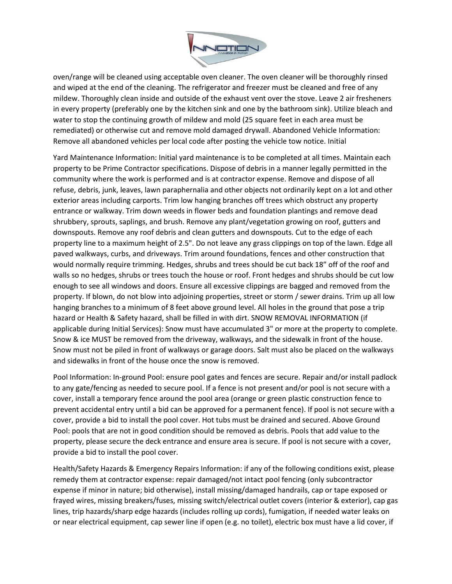

oven/range will be cleaned using acceptable oven cleaner. The oven cleaner will be thoroughly rinsed and wiped at the end of the cleaning. The refrigerator and freezer must be cleaned and free of any mildew. Thoroughly clean inside and outside of the exhaust vent over the stove. Leave 2 air fresheners in every property (preferably one by the kitchen sink and one by the bathroom sink). Utilize bleach and water to stop the continuing growth of mildew and mold (25 square feet in each area must be remediated) or otherwise cut and remove mold damaged drywall. Abandoned Vehicle Information: Remove all abandoned vehicles per local code after posting the vehicle tow notice. Initial

Yard Maintenance Information: Initial yard maintenance is to be completed at all times. Maintain each property to be Prime Contractor specifications. Dispose of debris in a manner legally permitted in the community where the work is performed and is at contractor expense. Remove and dispose of all refuse, debris, junk, leaves, lawn paraphernalia and other objects not ordinarily kept on a lot and other exterior areas including carports. Trim low hanging branches off trees which obstruct any property entrance or walkway. Trim down weeds in flower beds and foundation plantings and remove dead shrubbery, sprouts, saplings, and brush. Remove any plant/vegetation growing on roof, gutters and downspouts. Remove any roof debris and clean gutters and downspouts. Cut to the edge of each property line to a maximum height of 2.5". Do not leave any grass clippings on top of the lawn. Edge all paved walkways, curbs, and driveways. Trim around foundations, fences and other construction that would normally require trimming. Hedges, shrubs and trees should be cut back 18" off of the roof and walls so no hedges, shrubs or trees touch the house or roof. Front hedges and shrubs should be cut low enough to see all windows and doors. Ensure all excessive clippings are bagged and removed from the property. If blown, do not blow into adjoining properties, street or storm / sewer drains. Trim up all low hanging branches to a minimum of 8 feet above ground level. All holes in the ground that pose a trip hazard or Health & Safety hazard, shall be filled in with dirt. SNOW REMOVAL INFORMATION (if applicable during Initial Services): Snow must have accumulated 3" or more at the property to complete. Snow & ice MUST be removed from the driveway, walkways, and the sidewalk in front of the house. Snow must not be piled in front of walkways or garage doors. Salt must also be placed on the walkways and sidewalks in front of the house once the snow is removed.

Pool Information: In-ground Pool: ensure pool gates and fences are secure. Repair and/or install padlock to any gate/fencing as needed to secure pool. If a fence is not present and/or pool is not secure with a cover, install a temporary fence around the pool area (orange or green plastic construction fence to prevent accidental entry until a bid can be approved for a permanent fence). If pool is not secure with a cover, provide a bid to install the pool cover. Hot tubs must be drained and secured. Above Ground Pool: pools that are not in good condition should be removed as debris. Pools that add value to the property, please secure the deck entrance and ensure area is secure. If pool is not secure with a cover, provide a bid to install the pool cover.

Health/Safety Hazards & Emergency Repairs Information: if any of the following conditions exist, please remedy them at contractor expense: repair damaged/not intact pool fencing (only subcontractor expense if minor in nature; bid otherwise), install missing/damaged handrails, cap or tape exposed or frayed wires, missing breakers/fuses, missing switch/electrical outlet covers (interior & exterior), cap gas lines, trip hazards/sharp edge hazards (includes rolling up cords), fumigation, if needed water leaks on or near electrical equipment, cap sewer line if open (e.g. no toilet), electric box must have a lid cover, if